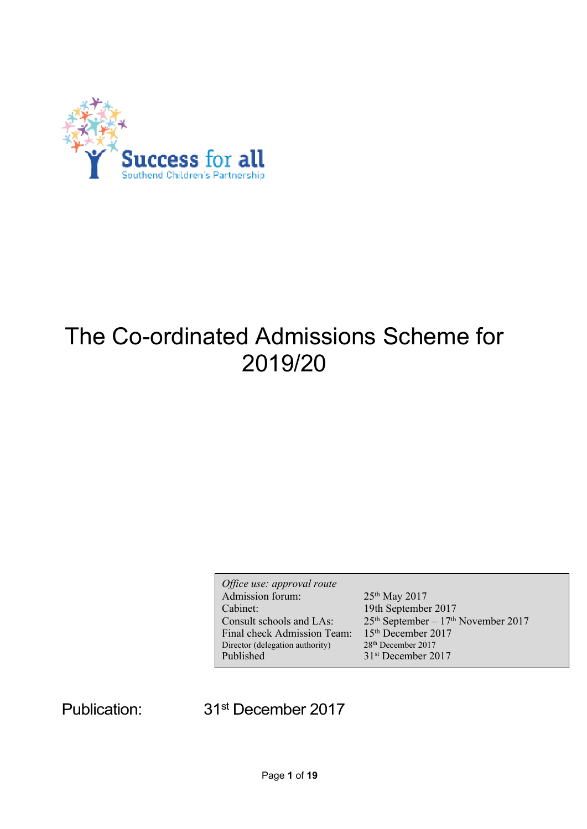

# The Co-ordinated Admissions Scheme for 2019/20

*Office use: approval route* Admission forum: 25<sup>th</sup> May 2017 Cabinet: 19th September 2017 Consult schools and LAs:  $25<sup>th</sup> September - 17<sup>th</sup> November 2017$ Final check Admission Team: 15<sup>th</sup> December 2017<br>Director (delegation authority) 28<sup>th</sup> December 2017 Director (delegation authority) Published 31<sup>st</sup> December 2017

Publication:

31<sup>st</sup> December 2017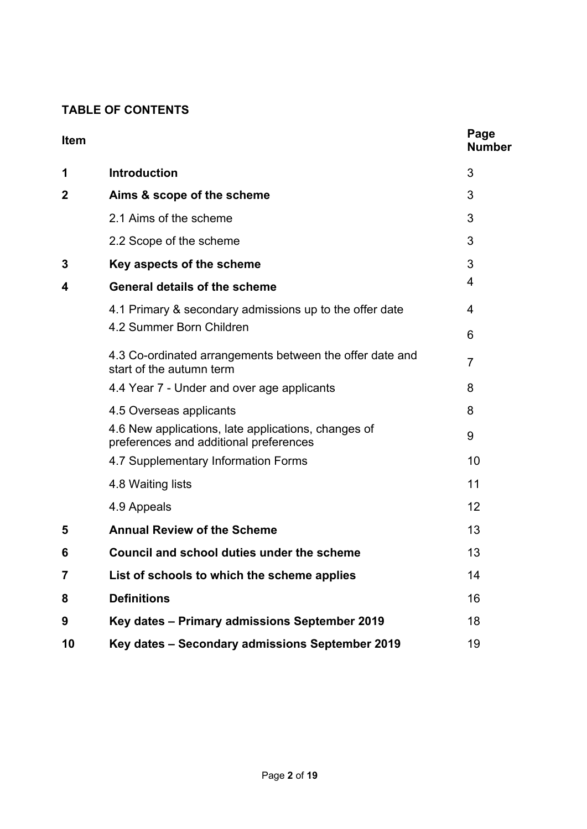# **TABLE OF CONTENTS**

| Item           |                                                                                               | Page<br><b>Number</b> |
|----------------|-----------------------------------------------------------------------------------------------|-----------------------|
| 1              | <b>Introduction</b>                                                                           | 3                     |
| $\mathbf 2$    | Aims & scope of the scheme                                                                    | 3                     |
|                | 2.1 Aims of the scheme                                                                        | 3                     |
|                | 2.2 Scope of the scheme                                                                       | 3                     |
| 3              | Key aspects of the scheme                                                                     | 3                     |
| 4              | <b>General details of the scheme</b>                                                          | 4                     |
|                | 4.1 Primary & secondary admissions up to the offer date                                       | 4                     |
|                | 4.2 Summer Born Children                                                                      | 6                     |
|                | 4.3 Co-ordinated arrangements between the offer date and<br>start of the autumn term          | $\overline{7}$        |
|                | 4.4 Year 7 - Under and over age applicants                                                    | 8                     |
|                | 4.5 Overseas applicants                                                                       | 8                     |
|                | 4.6 New applications, late applications, changes of<br>preferences and additional preferences | 9                     |
|                | 4.7 Supplementary Information Forms                                                           | 10                    |
|                | 4.8 Waiting lists                                                                             | 11                    |
|                | 4.9 Appeals                                                                                   | 12                    |
| 5              | <b>Annual Review of the Scheme</b>                                                            | 13                    |
| 6              | Council and school duties under the scheme                                                    | 13                    |
| $\overline{7}$ | List of schools to which the scheme applies                                                   | 14                    |
| 8              | <b>Definitions</b>                                                                            | 16                    |
| 9              | Key dates - Primary admissions September 2019                                                 | 18                    |
| 10             | Key dates - Secondary admissions September 2019                                               | 19                    |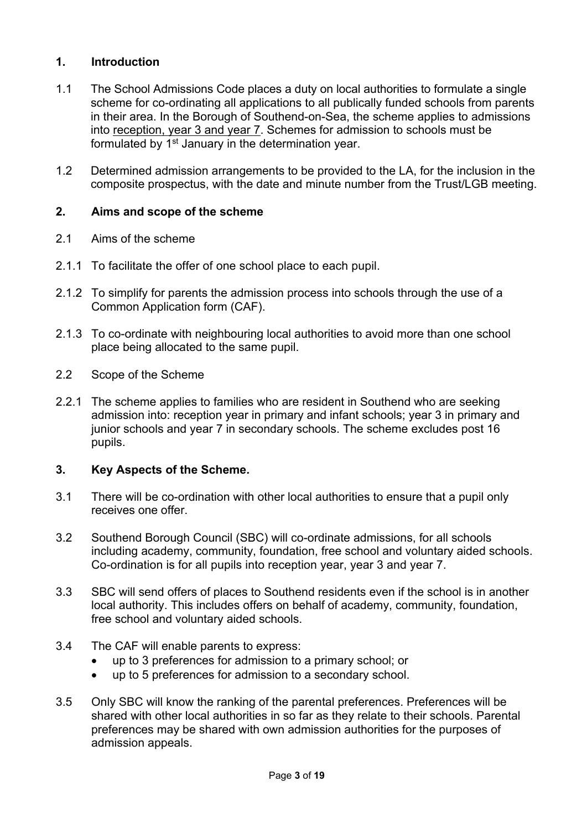# **1. Introduction**

- 1.1 The School Admissions Code places a duty on local authorities to formulate a single scheme for co-ordinating all applications to all publically funded schools from parents in their area. In the Borough of Southend-on-Sea, the scheme applies to admissions into reception, year 3 and year 7. Schemes for admission to schools must be formulated by 1<sup>st</sup> January in the determination year.
- 1.2 Determined admission arrangements to be provided to the LA, for the inclusion in the composite prospectus, with the date and minute number from the Trust/LGB meeting.

# **2. Aims and scope of the scheme**

- 2.1 Aims of the scheme
- 2.1.1 To facilitate the offer of one school place to each pupil.
- 2.1.2 To simplify for parents the admission process into schools through the use of a Common Application form (CAF).
- 2.1.3 To co-ordinate with neighbouring local authorities to avoid more than one school place being allocated to the same pupil.
- 2.2 Scope of the Scheme
- 2.2.1 The scheme applies to families who are resident in Southend who are seeking admission into: reception year in primary and infant schools; year 3 in primary and junior schools and year 7 in secondary schools. The scheme excludes post 16 pupils.

#### **3. Key Aspects of the Scheme.**

- 3.1 There will be co-ordination with other local authorities to ensure that a pupil only receives one offer.
- 3.2 Southend Borough Council (SBC) will co-ordinate admissions, for all schools including academy, community, foundation, free school and voluntary aided schools. Co-ordination is for all pupils into reception year, year 3 and year 7.
- 3.3 SBC will send offers of places to Southend residents even if the school is in another local authority. This includes offers on behalf of academy, community, foundation, free school and voluntary aided schools.
- 3.4 The CAF will enable parents to express:
	- up to 3 preferences for admission to a primary school; or
	- up to 5 preferences for admission to a secondary school.
- 3.5 Only SBC will know the ranking of the parental preferences. Preferences will be shared with other local authorities in so far as they relate to their schools. Parental preferences may be shared with own admission authorities for the purposes of admission appeals.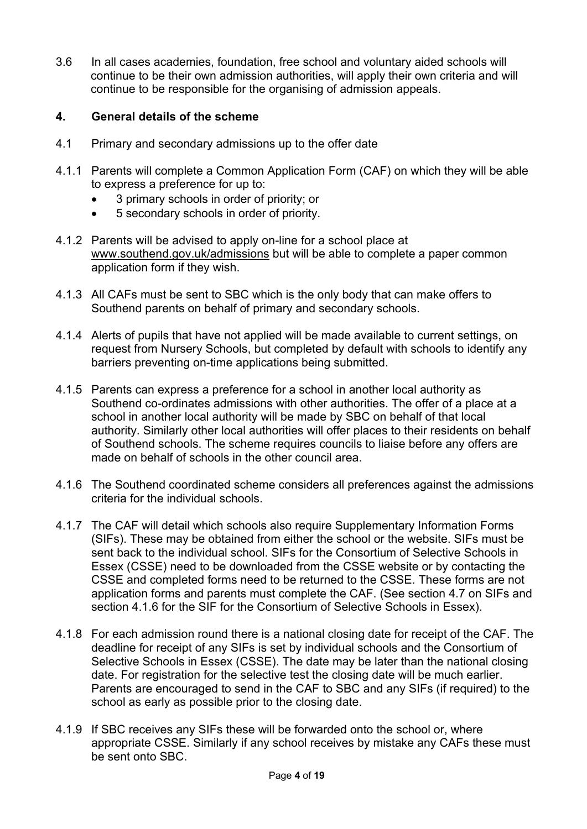3.6 In all cases academies, foundation, free school and voluntary aided schools will continue to be their own admission authorities, will apply their own criteria and will continue to be responsible for the organising of admission appeals.

#### **4. General details of the scheme**

- 4.1 Primary and secondary admissions up to the offer date
- 4.1.1 Parents will complete a Common Application Form (CAF) on which they will be able to express a preference for up to:
	- 3 primary schools in order of priority; or
	- 5 secondary schools in order of priority.
- 4.1.2 Parents will be advised to apply on-line for a school place at [www.southend.gov.uk/admissions](http://www.southend.gov.uk/admissions) but will be able to complete a paper common application form if they wish.
- 4.1.3 All CAFs must be sent to SBC which is the only body that can make offers to Southend parents on behalf of primary and secondary schools.
- 4.1.4 Alerts of pupils that have not applied will be made available to current settings, on request from Nursery Schools, but completed by default with schools to identify any barriers preventing on-time applications being submitted.
- 4.1.5 Parents can express a preference for a school in another local authority as Southend co-ordinates admissions with other authorities. The offer of a place at a school in another local authority will be made by SBC on behalf of that local authority. Similarly other local authorities will offer places to their residents on behalf of Southend schools. The scheme requires councils to liaise before any offers are made on behalf of schools in the other council area.
- 4.1.6 The Southend coordinated scheme considers all preferences against the admissions criteria for the individual schools.
- 4.1.7 The CAF will detail which schools also require Supplementary Information Forms (SIFs). These may be obtained from either the school or the website. SIFs must be sent back to the individual school. SIFs for the Consortium of Selective Schools in Essex (CSSE) need to be downloaded from the CSSE website or by contacting the CSSE and completed forms need to be returned to the CSSE. These forms are not application forms and parents must complete the CAF. (See section 4.7 on SIFs and section 4.1.6 for the SIF for the Consortium of Selective Schools in Essex).
- 4.1.8 For each admission round there is a national closing date for receipt of the CAF. The deadline for receipt of any SIFs is set by individual schools and the Consortium of Selective Schools in Essex (CSSE). The date may be later than the national closing date. For registration for the selective test the closing date will be much earlier. Parents are encouraged to send in the CAF to SBC and any SIFs (if required) to the school as early as possible prior to the closing date.
- 4.1.9 If SBC receives any SIFs these will be forwarded onto the school or, where appropriate CSSE. Similarly if any school receives by mistake any CAFs these must be sent onto SBC.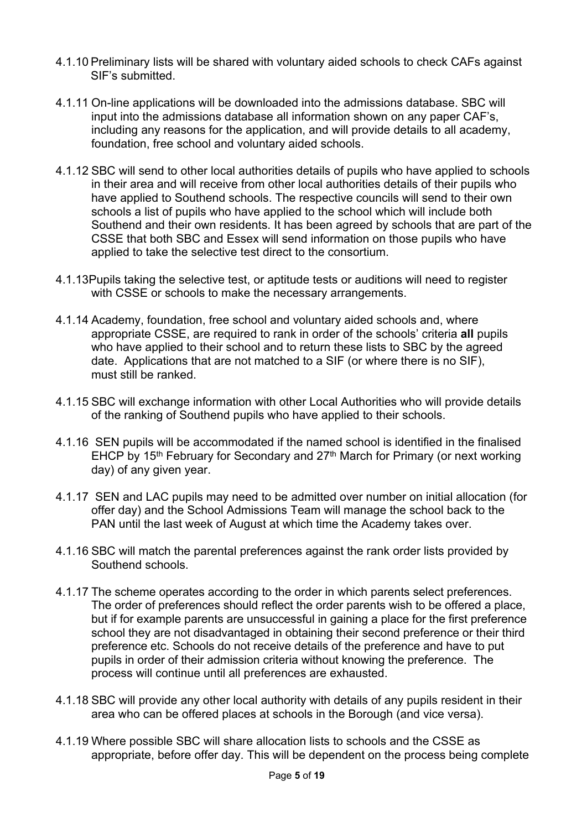- 4.1.10 Preliminary lists will be shared with voluntary aided schools to check CAFs against SIF's submitted.
- 4.1.11 On-line applications will be downloaded into the admissions database. SBC will input into the admissions database all information shown on any paper CAF's, including any reasons for the application, and will provide details to all academy, foundation, free school and voluntary aided schools.
- 4.1.12 SBC will send to other local authorities details of pupils who have applied to schools in their area and will receive from other local authorities details of their pupils who have applied to Southend schools. The respective councils will send to their own schools a list of pupils who have applied to the school which will include both Southend and their own residents. It has been agreed by schools that are part of the CSSE that both SBC and Essex will send information on those pupils who have applied to take the selective test direct to the consortium.
- 4.1.13Pupils taking the selective test, or aptitude tests or auditions will need to register with CSSE or schools to make the necessary arrangements.
- 4.1.14 Academy, foundation, free school and voluntary aided schools and, where appropriate CSSE, are required to rank in order of the schools' criteria **all** pupils who have applied to their school and to return these lists to SBC by the agreed date. Applications that are not matched to a SIF (or where there is no SIF), must still be ranked.
- 4.1.15 SBC will exchange information with other Local Authorities who will provide details of the ranking of Southend pupils who have applied to their schools.
- 4.1.16 SEN pupils will be accommodated if the named school is identified in the finalised EHCP by 15<sup>th</sup> February for Secondary and 27<sup>th</sup> March for Primary (or next working day) of any given year.
- 4.1.17 SEN and LAC pupils may need to be admitted over number on initial allocation (for offer day) and the School Admissions Team will manage the school back to the PAN until the last week of August at which time the Academy takes over.
- 4.1.16 SBC will match the parental preferences against the rank order lists provided by Southend schools.
- 4.1.17 The scheme operates according to the order in which parents select preferences. The order of preferences should reflect the order parents wish to be offered a place, but if for example parents are unsuccessful in gaining a place for the first preference school they are not disadvantaged in obtaining their second preference or their third preference etc. Schools do not receive details of the preference and have to put pupils in order of their admission criteria without knowing the preference. The process will continue until all preferences are exhausted.
- 4.1.18 SBC will provide any other local authority with details of any pupils resident in their area who can be offered places at schools in the Borough (and vice versa).
- 4.1.19 Where possible SBC will share allocation lists to schools and the CSSE as appropriate, before offer day. This will be dependent on the process being complete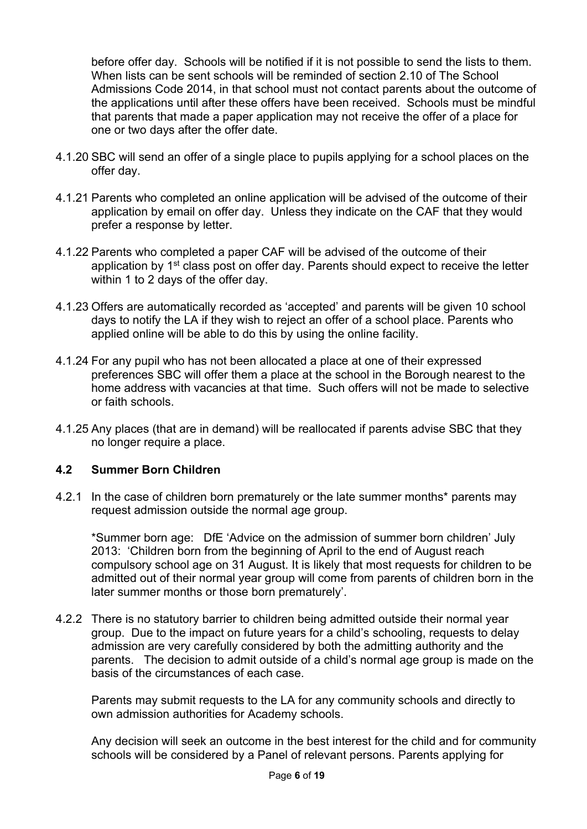before offer day. Schools will be notified if it is not possible to send the lists to them. When lists can be sent schools will be reminded of section 2.10 of The School Admissions Code 2014, in that school must not contact parents about the outcome of the applications until after these offers have been received. Schools must be mindful that parents that made a paper application may not receive the offer of a place for one or two days after the offer date.

- 4.1.20 SBC will send an offer of a single place to pupils applying for a school places on the offer day.
- 4.1.21 Parents who completed an online application will be advised of the outcome of their application by email on offer day. Unless they indicate on the CAF that they would prefer a response by letter.
- 4.1.22 Parents who completed a paper CAF will be advised of the outcome of their application by 1<sup>st</sup> class post on offer day. Parents should expect to receive the letter within 1 to 2 days of the offer day.
- 4.1.23 Offers are automatically recorded as 'accepted' and parents will be given 10 school days to notify the LA if they wish to reject an offer of a school place. Parents who applied online will be able to do this by using the online facility.
- 4.1.24 For any pupil who has not been allocated a place at one of their expressed preferences SBC will offer them a place at the school in the Borough nearest to the home address with vacancies at that time. Such offers will not be made to selective or faith schools.
- 4.1.25 Any places (that are in demand) will be reallocated if parents advise SBC that they no longer require a place.

#### **4.2 Summer Born Children**

4.2.1 In the case of children born prematurely or the late summer months\* parents may request admission outside the normal age group.

\*Summer born age: DfE 'Advice on the admission of summer born children' July 2013: 'Children born from the beginning of April to the end of August reach compulsory school age on 31 August. It is likely that most requests for children to be admitted out of their normal year group will come from parents of children born in the later summer months or those born prematurely'.

4.2.2 There is no statutory barrier to children being admitted outside their normal year group. Due to the impact on future years for a child's schooling, requests to delay admission are very carefully considered by both the admitting authority and the parents. The decision to admit outside of a child's normal age group is made on the basis of the circumstances of each case.

Parents may submit requests to the LA for any community schools and directly to own admission authorities for Academy schools.

Any decision will seek an outcome in the best interest for the child and for community schools will be considered by a Panel of relevant persons. Parents applying for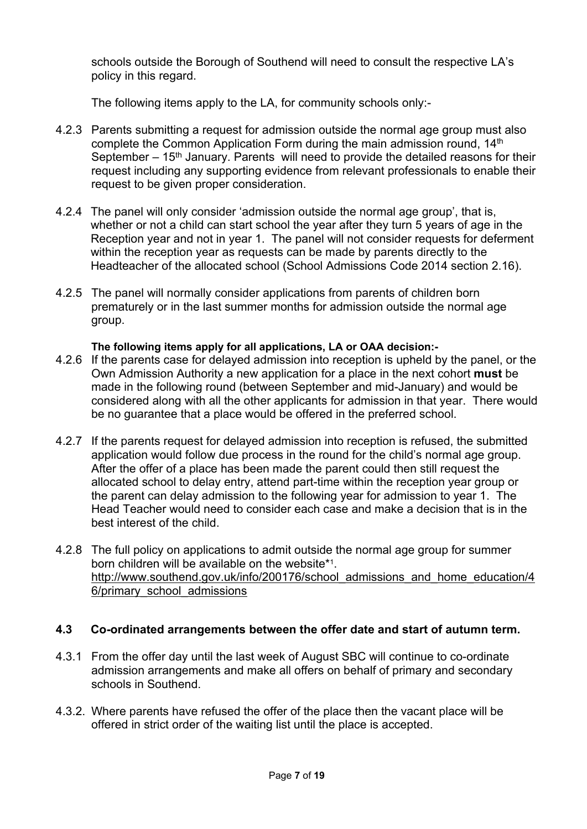schools outside the Borough of Southend will need to consult the respective LA's policy in this regard.

The following items apply to the LA, for community schools only:-

- 4.2.3 Parents submitting a request for admission outside the normal age group must also complete the Common Application Form during the main admission round, 14th September  $-15<sup>th</sup>$  January. Parents will need to provide the detailed reasons for their request including any supporting evidence from relevant professionals to enable their request to be given proper consideration.
- 4.2.4 The panel will only consider 'admission outside the normal age group', that is, whether or not a child can start school the year after they turn 5 years of age in the Reception year and not in year 1. The panel will not consider requests for deferment within the reception year as requests can be made by parents directly to the Headteacher of the allocated school (School Admissions Code 2014 section 2.16).
- 4.2.5 The panel will normally consider applications from parents of children born prematurely or in the last summer months for admission outside the normal age group.

#### **The following items apply for all applications, LA or OAA decision:-**

- 4.2.6 If the parents case for delayed admission into reception is upheld by the panel, or the Own Admission Authority a new application for a place in the next cohort **must** be made in the following round (between September and mid-January) and would be considered along with all the other applicants for admission in that year. There would be no guarantee that a place would be offered in the preferred school.
- 4.2.7 If the parents request for delayed admission into reception is refused, the submitted application would follow due process in the round for the child's normal age group. After the offer of a place has been made the parent could then still request the allocated school to delay entry, attend part-time within the reception year group or the parent can delay admission to the following year for admission to year 1. The Head Teacher would need to consider each case and make a decision that is in the best interest of the child.
- 4.2.8 The full policy on applications to admit outside the normal age group for summer born children will be available on the website\*<sup>1</sup> . [http://www.southend.gov.uk/info/200176/school\\_admissions\\_and\\_home\\_education/4](http://www.southend.gov.uk/info/200176/school_admissions_and_home_education/46/primary_school_admissions) [6/primary\\_school\\_admissions](http://www.southend.gov.uk/info/200176/school_admissions_and_home_education/46/primary_school_admissions)

# **4.3 Co-ordinated arrangements between the offer date and start of autumn term.**

- 4.3.1 From the offer day until the last week of August SBC will continue to co-ordinate admission arrangements and make all offers on behalf of primary and secondary schools in Southend.
- 4.3.2. Where parents have refused the offer of the place then the vacant place will be offered in strict order of the waiting list until the place is accepted.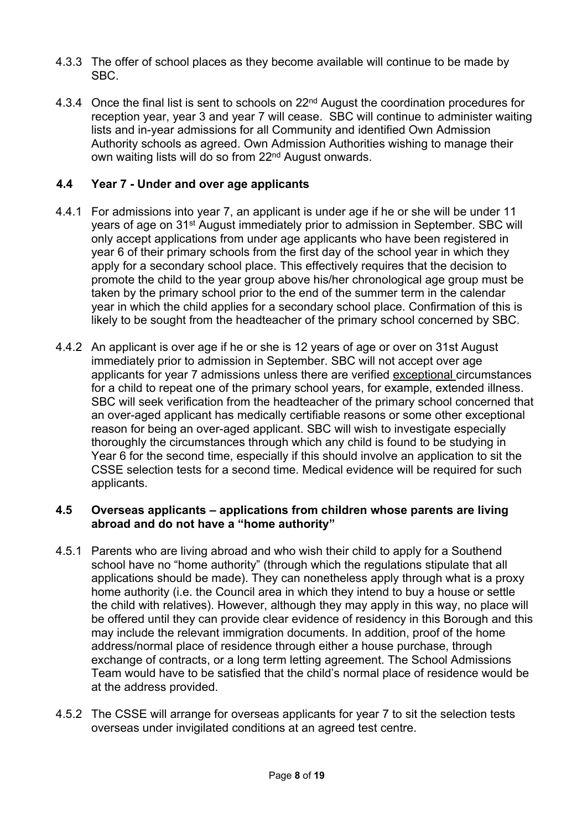- 4.3.3 The offer of school places as they become available will continue to be made by SBC.
- 4.3.4 Once the final list is sent to schools on  $22<sup>nd</sup>$  August the coordination procedures for reception year, year 3 and year 7 will cease. SBC will continue to administer waiting lists and in-year admissions for all Community and identified Own Admission Authority schools as agreed. Own Admission Authorities wishing to manage their own waiting lists will do so from 22nd August onwards.

# **4.4 Year 7 - Under and over age applicants**

- 4.4.1 For admissions into year 7, an applicant is under age if he or she will be under 11 years of age on 31st August immediately prior to admission in September. SBC will only accept applications from under age applicants who have been registered in year 6 of their primary schools from the first day of the school year in which they apply for a secondary school place. This effectively requires that the decision to promote the child to the year group above his/her chronological age group must be taken by the primary school prior to the end of the summer term in the calendar year in which the child applies for a secondary school place. Confirmation of this is likely to be sought from the headteacher of the primary school concerned by SBC.
- 4.4.2 An applicant is over age if he or she is 12 years of age or over on 31st August immediately prior to admission in September. SBC will not accept over age applicants for year 7 admissions unless there are verified exceptional circumstances for a child to repeat one of the primary school years, for example, extended illness. SBC will seek verification from the headteacher of the primary school concerned that an over-aged applicant has medically certifiable reasons or some other exceptional reason for being an over-aged applicant. SBC will wish to investigate especially thoroughly the circumstances through which any child is found to be studying in Year 6 for the second time, especially if this should involve an application to sit the CSSE selection tests for a second time. Medical evidence will be required for such applicants.

#### **4.5 Overseas applicants – applications from children whose parents are living abroad and do not have a "home authority"**

- 4.5.1 Parents who are living abroad and who wish their child to apply for a Southend school have no "home authority" (through which the regulations stipulate that all applications should be made). They can nonetheless apply through what is a proxy home authority (i.e. the Council area in which they intend to buy a house or settle the child with relatives). However, although they may apply in this way, no place will be offered until they can provide clear evidence of residency in this Borough and this may include the relevant immigration documents. In addition, proof of the home address/normal place of residence through either a house purchase, through exchange of contracts, or a long term letting agreement. The School Admissions Team would have to be satisfied that the child's normal place of residence would be at the address provided.
- 4.5.2 The CSSE will arrange for overseas applicants for year 7 to sit the selection tests overseas under invigilated conditions at an agreed test centre.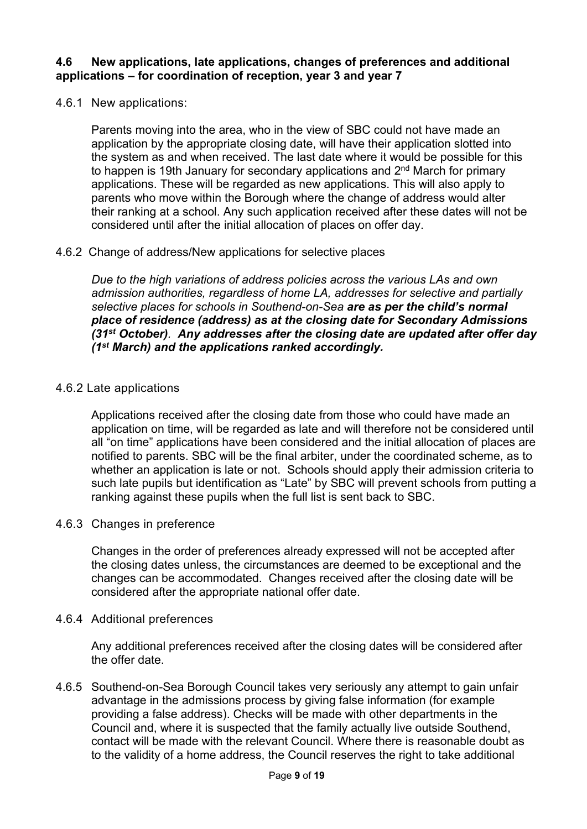#### **4.6 New applications, late applications, changes of preferences and additional applications – for coordination of reception, year 3 and year 7**

4.6.1 New applications:

Parents moving into the area, who in the view of SBC could not have made an application by the appropriate closing date, will have their application slotted into the system as and when received. The last date where it would be possible for this to happen is 19th January for secondary applications and 2<sup>nd</sup> March for primary applications. These will be regarded as new applications. This will also apply to parents who move within the Borough where the change of address would alter their ranking at a school. Any such application received after these dates will not be considered until after the initial allocation of places on offer day.

#### 4.6.2 Change of address/New applications for selective places

*Due to the high variations of address policies across the various LAs and own admission authorities, regardless of home LA, addresses for selective and partially selective places for schools in Southend-on-Sea are as per the child's normal place of residence (address) as at the closing date for Secondary Admissions (31st October). Any addresses after the closing date are updated after offer day (1st March) and the applications ranked accordingly.*

#### 4.6.2 Late applications

Applications received after the closing date from those who could have made an application on time, will be regarded as late and will therefore not be considered until all "on time" applications have been considered and the initial allocation of places are notified to parents. SBC will be the final arbiter, under the coordinated scheme, as to whether an application is late or not. Schools should apply their admission criteria to such late pupils but identification as "Late" by SBC will prevent schools from putting a ranking against these pupils when the full list is sent back to SBC.

4.6.3 Changes in preference

Changes in the order of preferences already expressed will not be accepted after the closing dates unless, the circumstances are deemed to be exceptional and the changes can be accommodated. Changes received after the closing date will be considered after the appropriate national offer date.

#### 4.6.4 Additional preferences

Any additional preferences received after the closing dates will be considered after the offer date.

4.6.5 Southend-on-Sea Borough Council takes very seriously any attempt to gain unfair advantage in the admissions process by giving false information (for example providing a false address). Checks will be made with other departments in the Council and, where it is suspected that the family actually live outside Southend, contact will be made with the relevant Council. Where there is reasonable doubt as to the validity of a home address, the Council reserves the right to take additional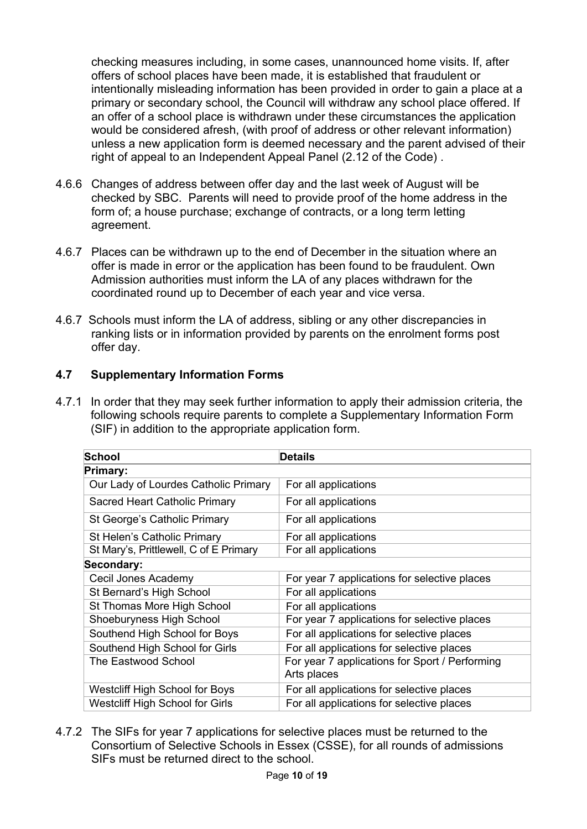checking measures including, in some cases, unannounced home visits. If, after offers of school places have been made, it is established that fraudulent or intentionally misleading information has been provided in order to gain a place at a primary or secondary school, the Council will withdraw any school place offered. If an offer of a school place is withdrawn under these circumstances the application would be considered afresh, (with proof of address or other relevant information) unless a new application form is deemed necessary and the parent advised of their right of appeal to an Independent Appeal Panel (2.12 of the Code) .

- 4.6.6 Changes of address between offer day and the last week of August will be checked by SBC. Parents will need to provide proof of the home address in the form of; a house purchase; exchange of contracts, or a long term letting agreement.
- 4.6.7 Places can be withdrawn up to the end of December in the situation where an offer is made in error or the application has been found to be fraudulent. Own Admission authorities must inform the LA of any places withdrawn for the coordinated round up to December of each year and vice versa.
- 4.6.7 Schools must inform the LA of address, sibling or any other discrepancies in ranking lists or in information provided by parents on the enrolment forms post offer day.

# **4.7 Supplementary Information Forms**

4.7.1 In order that they may seek further information to apply their admission criteria, the following schools require parents to complete a Supplementary Information Form (SIF) in addition to the appropriate application form.

| School                                 | <b>Details</b>                                                |  |  |  |
|----------------------------------------|---------------------------------------------------------------|--|--|--|
| Primary:                               |                                                               |  |  |  |
| Our Lady of Lourdes Catholic Primary   | For all applications                                          |  |  |  |
| Sacred Heart Catholic Primary          | For all applications                                          |  |  |  |
| St George's Catholic Primary           | For all applications                                          |  |  |  |
| St Helen's Catholic Primary            | For all applications                                          |  |  |  |
| St Mary's, Prittlewell, C of E Primary | For all applications                                          |  |  |  |
| Secondary:                             |                                                               |  |  |  |
| Cecil Jones Academy                    | For year 7 applications for selective places                  |  |  |  |
| St Bernard's High School               | For all applications                                          |  |  |  |
| St Thomas More High School             | For all applications                                          |  |  |  |
| Shoeburyness High School               | For year 7 applications for selective places                  |  |  |  |
| Southend High School for Boys          | For all applications for selective places                     |  |  |  |
| Southend High School for Girls         | For all applications for selective places                     |  |  |  |
| The Eastwood School                    | For year 7 applications for Sport / Performing<br>Arts places |  |  |  |
| Westcliff High School for Boys         | For all applications for selective places                     |  |  |  |
| Westcliff High School for Girls        | For all applications for selective places                     |  |  |  |

4.7.2 The SIFs for year 7 applications for selective places must be returned to the Consortium of Selective Schools in Essex (CSSE), for all rounds of admissions SIFs must be returned direct to the school.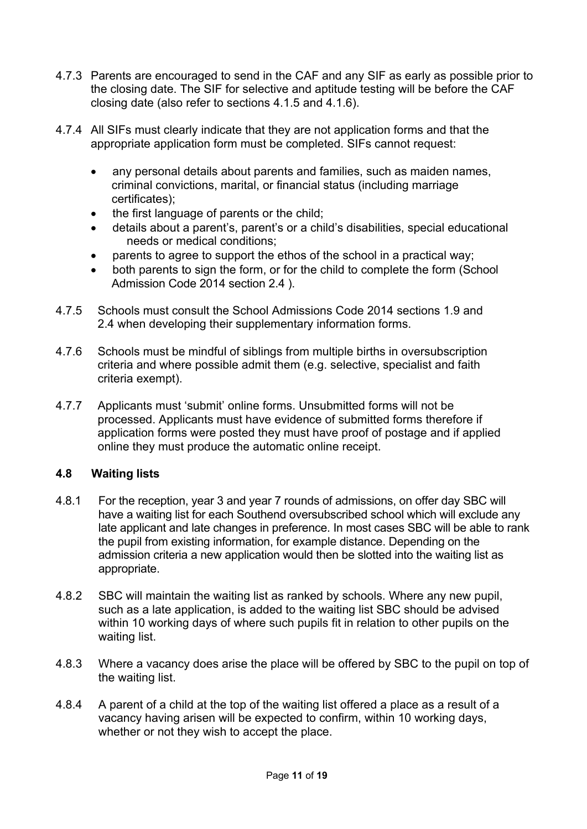- 4.7.3 Parents are encouraged to send in the CAF and any SIF as early as possible prior to the closing date. The SIF for selective and aptitude testing will be before the CAF closing date (also refer to sections 4.1.5 and 4.1.6).
- 4.7.4 All SIFs must clearly indicate that they are not application forms and that the appropriate application form must be completed. SIFs cannot request:
	- any personal details about parents and families, such as maiden names, criminal convictions, marital, or financial status (including marriage certificates);
	- the first language of parents or the child;
	- details about a parent's, parent's or a child's disabilities, special educational needs or medical conditions;
	- parents to agree to support the ethos of the school in a practical way;
	- both parents to sign the form, or for the child to complete the form (School Admission Code 2014 section 2.4 ).
- 4.7.5 Schools must consult the School Admissions Code 2014 sections 1.9 and 2.4 when developing their supplementary information forms.
- 4.7.6 Schools must be mindful of siblings from multiple births in oversubscription criteria and where possible admit them (e.g. selective, specialist and faith criteria exempt).
- 4.7.7 Applicants must 'submit' online forms. Unsubmitted forms will not be processed. Applicants must have evidence of submitted forms therefore if application forms were posted they must have proof of postage and if applied online they must produce the automatic online receipt.

# **4.8 Waiting lists**

- 4.8.1 For the reception, year 3 and year 7 rounds of admissions, on offer day SBC will have a waiting list for each Southend oversubscribed school which will exclude any late applicant and late changes in preference. In most cases SBC will be able to rank the pupil from existing information, for example distance. Depending on the admission criteria a new application would then be slotted into the waiting list as appropriate.
- 4.8.2 SBC will maintain the waiting list as ranked by schools. Where any new pupil, such as a late application, is added to the waiting list SBC should be advised within 10 working days of where such pupils fit in relation to other pupils on the waiting list.
- 4.8.3 Where a vacancy does arise the place will be offered by SBC to the pupil on top of the waiting list.
- 4.8.4 A parent of a child at the top of the waiting list offered a place as a result of a vacancy having arisen will be expected to confirm, within 10 working days, whether or not they wish to accept the place.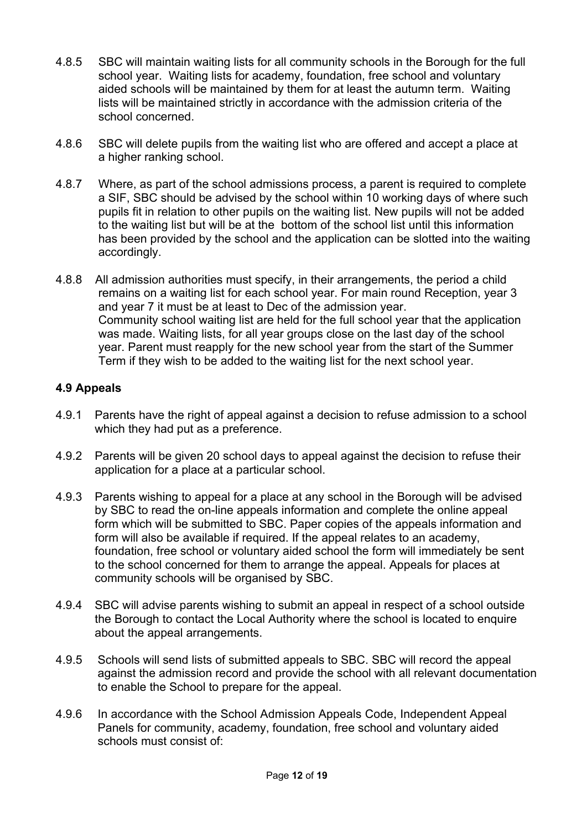- 4.8.5 SBC will maintain waiting lists for all community schools in the Borough for the full school year. Waiting lists for academy, foundation, free school and voluntary aided schools will be maintained by them for at least the autumn term. Waiting lists will be maintained strictly in accordance with the admission criteria of the school concerned.
- 4.8.6 SBC will delete pupils from the waiting list who are offered and accept a place at a higher ranking school.
- 4.8.7 Where, as part of the school admissions process, a parent is required to complete a SIF, SBC should be advised by the school within 10 working days of where such pupils fit in relation to other pupils on the waiting list. New pupils will not be added to the waiting list but will be at the bottom of the school list until this information has been provided by the school and the application can be slotted into the waiting accordingly.
- 4.8.8 All admission authorities must specify, in their arrangements, the period a child remains on a waiting list for each school year. For main round Reception, year 3 and year 7 it must be at least to Dec of the admission year. Community school waiting list are held for the full school year that the application was made. Waiting lists, for all year groups close on the last day of the school year. Parent must reapply for the new school year from the start of the Summer Term if they wish to be added to the waiting list for the next school year.

# **4.9 Appeals**

- 4.9.1 Parents have the right of appeal against a decision to refuse admission to a school which they had put as a preference.
- 4.9.2 Parents will be given 20 school days to appeal against the decision to refuse their application for a place at a particular school.
- 4.9.3 Parents wishing to appeal for a place at any school in the Borough will be advised by SBC to read the on-line appeals information and complete the online appeal form which will be submitted to SBC. Paper copies of the appeals information and form will also be available if required. If the appeal relates to an academy, foundation, free school or voluntary aided school the form will immediately be sent to the school concerned for them to arrange the appeal. Appeals for places at community schools will be organised by SBC.
- 4.9.4 SBC will advise parents wishing to submit an appeal in respect of a school outside the Borough to contact the Local Authority where the school is located to enquire about the appeal arrangements.
- 4.9.5 Schools will send lists of submitted appeals to SBC. SBC will record the appeal against the admission record and provide the school with all relevant documentation to enable the School to prepare for the appeal.
- 4.9.6 In accordance with the School Admission Appeals Code, Independent Appeal Panels for community, academy, foundation, free school and voluntary aided schools must consist of: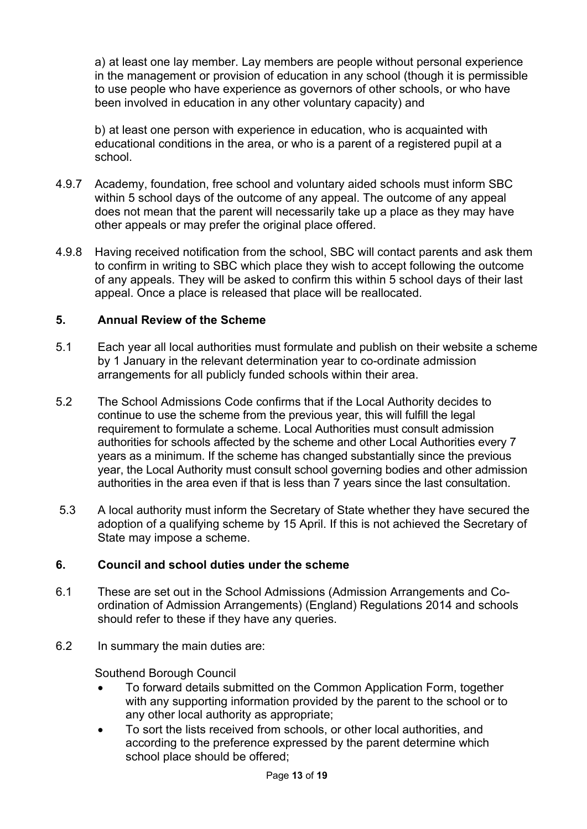a) at least one lay member. Lay members are people without personal experience in the management or provision of education in any school (though it is permissible to use people who have experience as governors of other schools, or who have been involved in education in any other voluntary capacity) and

b) at least one person with experience in education, who is acquainted with educational conditions in the area, or who is a parent of a registered pupil at a school.

- 4.9.7 Academy, foundation, free school and voluntary aided schools must inform SBC within 5 school days of the outcome of any appeal. The outcome of any appeal does not mean that the parent will necessarily take up a place as they may have other appeals or may prefer the original place offered.
- 4.9.8 Having received notification from the school, SBC will contact parents and ask them to confirm in writing to SBC which place they wish to accept following the outcome of any appeals. They will be asked to confirm this within 5 school days of their last appeal. Once a place is released that place will be reallocated.

#### **5. Annual Review of the Scheme**

- 5.1 Each year all local authorities must formulate and publish on their website a scheme by 1 January in the relevant determination year to co-ordinate admission arrangements for all publicly funded schools within their area.
- 5.2 The School Admissions Code confirms that if the Local Authority decides to continue to use the scheme from the previous year, this will fulfill the legal requirement to formulate a scheme. Local Authorities must consult admission authorities for schools affected by the scheme and other Local Authorities every 7 years as a minimum. If the scheme has changed substantially since the previous year, the Local Authority must consult school governing bodies and other admission authorities in the area even if that is less than 7 years since the last consultation.
- 5.3 A local authority must inform the Secretary of State whether they have secured the adoption of a qualifying scheme by 15 April. If this is not achieved the Secretary of State may impose a scheme.

# **6. Council and school duties under the scheme**

- 6.1 These are set out in the School Admissions (Admission Arrangements and Coordination of Admission Arrangements) (England) Regulations 2014 and schools should refer to these if they have any queries.
- 6.2 In summary the main duties are:

Southend Borough Council

- To forward details submitted on the Common Application Form, together with any supporting information provided by the parent to the school or to any other local authority as appropriate;
- To sort the lists received from schools, or other local authorities, and according to the preference expressed by the parent determine which school place should be offered;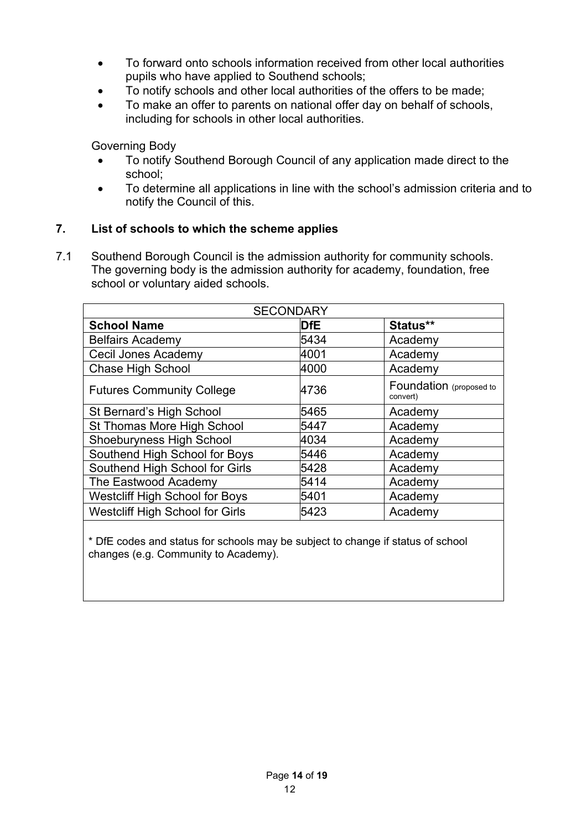- To forward onto schools information received from other local authorities pupils who have applied to Southend schools;
- To notify schools and other local authorities of the offers to be made;
- To make an offer to parents on national offer day on behalf of schools, including for schools in other local authorities.

Governing Body

- To notify Southend Borough Council of any application made direct to the school;
- To determine all applications in line with the school's admission criteria and to notify the Council of this.

# **7. List of schools to which the scheme applies**

7.1 Southend Borough Council is the admission authority for community schools. The governing body is the admission authority for academy, foundation, free school or voluntary aided schools.

| <b>SECONDARY</b>                       |      |                                     |  |  |
|----------------------------------------|------|-------------------------------------|--|--|
| <b>School Name</b>                     | DfE  | Status**                            |  |  |
| <b>Belfairs Academy</b>                | 5434 | Academy                             |  |  |
| Cecil Jones Academy                    | 4001 | Academy                             |  |  |
| <b>Chase High School</b>               | 4000 | Academy                             |  |  |
| <b>Futures Community College</b>       | 4736 | Foundation (proposed to<br>convert) |  |  |
| St Bernard's High School               | 5465 | Academy                             |  |  |
| St Thomas More High School             | 5447 | Academy                             |  |  |
| <b>Shoeburyness High School</b>        | 4034 | Academy                             |  |  |
| Southend High School for Boys          | 5446 | Academy                             |  |  |
| Southend High School for Girls         | 5428 | Academy                             |  |  |
| The Eastwood Academy                   | 5414 | Academy                             |  |  |
| <b>Westcliff High School for Boys</b>  | 5401 | Academy                             |  |  |
| <b>Westcliff High School for Girls</b> | 5423 | Academy                             |  |  |

\* DfE codes and status for schools may be subject to change if status of school changes (e.g. Community to Academy).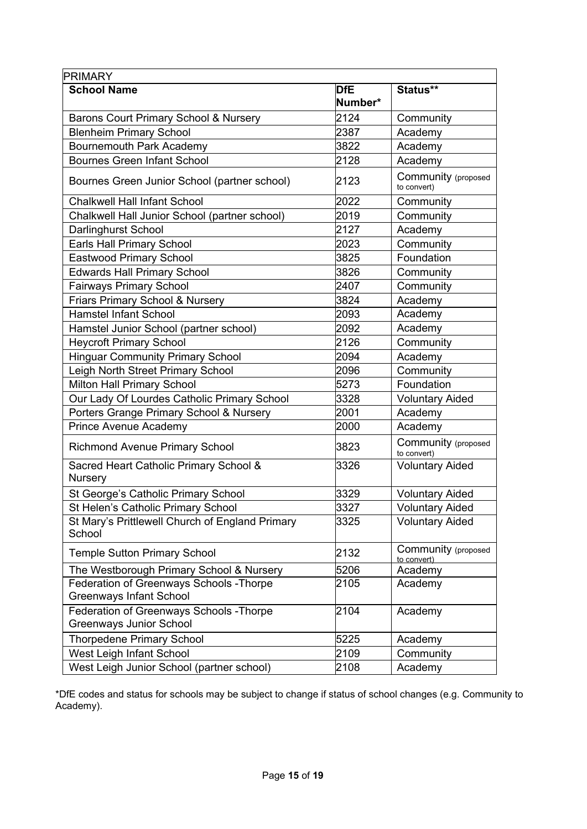| <b>PRIMARY</b>                                                             |                       |                                    |
|----------------------------------------------------------------------------|-----------------------|------------------------------------|
| <b>School Name</b>                                                         | <b>DfE</b><br>Number* | Status**                           |
| Barons Court Primary School & Nursery                                      | 2124                  | Community                          |
| <b>Blenheim Primary School</b>                                             | 2387                  | Academy                            |
| Bournemouth Park Academy                                                   | 3822                  | Academy                            |
| <b>Bournes Green Infant School</b>                                         | 2128                  | Academy                            |
| Bournes Green Junior School (partner school)                               | 2123                  | Community (proposed<br>to convert) |
| <b>Chalkwell Hall Infant School</b>                                        | 2022                  | Community                          |
| Chalkwell Hall Junior School (partner school)                              | 2019                  | Community                          |
| Darlinghurst School                                                        | 2127                  | Academy                            |
| Earls Hall Primary School                                                  | 2023                  | Community                          |
| <b>Eastwood Primary School</b>                                             | 3825                  | Foundation                         |
| <b>Edwards Hall Primary School</b>                                         | 3826                  | Community                          |
| <b>Fairways Primary School</b>                                             | 2407                  | Community                          |
| Friars Primary School & Nursery                                            | 3824                  | Academy                            |
| <b>Hamstel Infant School</b>                                               | 2093                  | Academy                            |
| Hamstel Junior School (partner school)                                     | 2092                  | Academy                            |
| <b>Heycroft Primary School</b>                                             | 2126                  | Community                          |
| <b>Hinguar Community Primary School</b>                                    | 2094                  | Academy                            |
| Leigh North Street Primary School                                          | 2096                  | Community                          |
| Milton Hall Primary School                                                 | 5273                  | Foundation                         |
| Our Lady Of Lourdes Catholic Primary School                                | 3328                  | <b>Voluntary Aided</b>             |
| Porters Grange Primary School & Nursery                                    | 2001                  | Academy                            |
| Prince Avenue Academy                                                      | 2000                  | Academy                            |
| <b>Richmond Avenue Primary School</b>                                      | 3823                  | Community (proposed<br>to convert) |
| Sacred Heart Catholic Primary School &<br><b>Nursery</b>                   | 3326                  | <b>Voluntary Aided</b>             |
| St George's Catholic Primary School                                        | 3329                  | <b>Voluntary Aided</b>             |
| St Helen's Catholic Primary School                                         | 3327                  | <b>Voluntary Aided</b>             |
| St Mary's Prittlewell Church of England Primary<br>School                  | 3325                  | <b>Voluntary Aided</b>             |
| <b>Temple Sutton Primary School</b>                                        | 2132                  | Community (proposed<br>to convert) |
| The Westborough Primary School & Nursery                                   | 5206                  | Academy                            |
| Federation of Greenways Schools - Thorpe<br><b>Greenways Infant School</b> | 2105                  | Academy                            |
| Federation of Greenways Schools - Thorpe<br><b>Greenways Junior School</b> | 2104                  | Academy                            |
| <b>Thorpedene Primary School</b>                                           | 5225                  | Academy                            |
| West Leigh Infant School                                                   | 2109                  | Community                          |
| West Leigh Junior School (partner school)                                  | 2108                  | Academy                            |

\*DfE codes and status for schools may be subject to change if status of school changes (e.g. Community to Academy).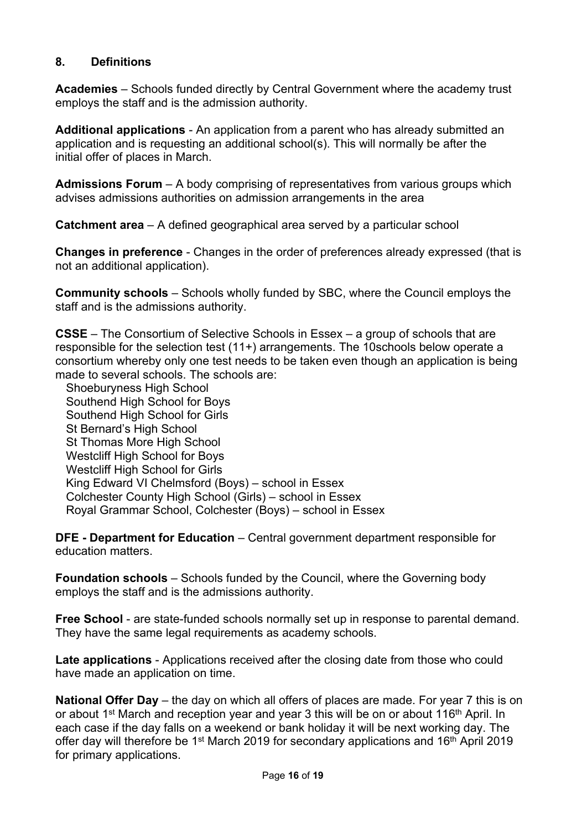# **8. Definitions**

**Academies** – Schools funded directly by Central Government where the academy trust employs the staff and is the admission authority.

**Additional applications** - An application from a parent who has already submitted an application and is requesting an additional school(s). This will normally be after the initial offer of places in March.

**Admissions Forum** – A body comprising of representatives from various groups which advises admissions authorities on admission arrangements in the area

**Catchment area** – A defined geographical area served by a particular school

**Changes in preference** - Changes in the order of preferences already expressed (that is not an additional application).

**Community schools** – Schools wholly funded by SBC, where the Council employs the staff and is the admissions authority.

**CSSE** – The Consortium of Selective Schools in Essex – a group of schools that are responsible for the selection test (11+) arrangements. The 10schools below operate a consortium whereby only one test needs to be taken even though an application is being made to several schools. The schools are:

Shoeburyness High School Southend High School for Boys Southend High School for Girls St Bernard's High School St Thomas More High School Westcliff High School for Boys Westcliff High School for Girls King Edward VI Chelmsford (Boys) – school in Essex Colchester County High School (Girls) – school in Essex Royal Grammar School, Colchester (Boys) – school in Essex

**DFE - Department for Education** – Central government department responsible for education matters.

**Foundation schools** – Schools funded by the Council, where the Governing body employs the staff and is the admissions authority.

**Free School** - are state-funded schools normally set up in response to parental demand. They have the same legal requirements as academy schools.

**Late applications** - Applications received after the closing date from those who could have made an application on time.

**National Offer Day** – the day on which all offers of places are made. For year 7 this is on or about 1<sup>st</sup> March and reception year and year 3 this will be on or about 116<sup>th</sup> April. In each case if the day falls on a weekend or bank holiday it will be next working day. The offer day will therefore be 1<sup>st</sup> March 2019 for secondary applications and 16<sup>th</sup> April 2019 for primary applications.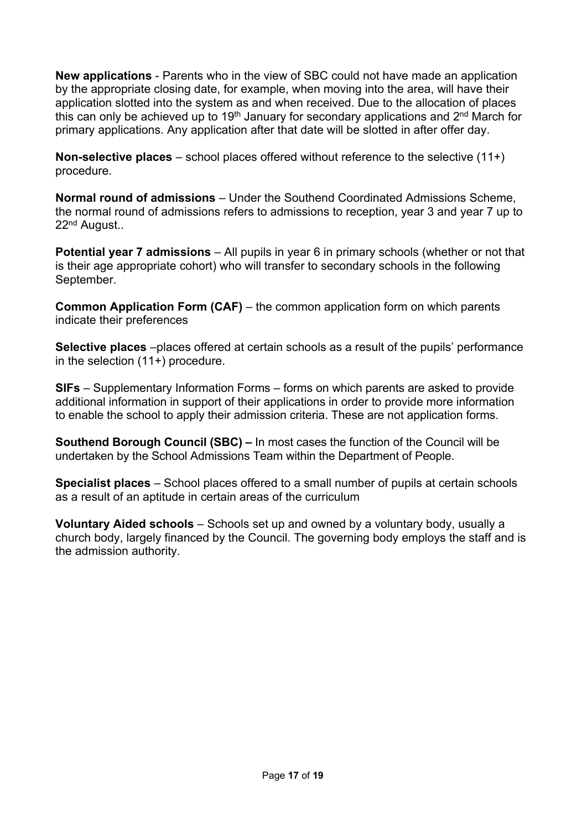**New applications** - Parents who in the view of SBC could not have made an application by the appropriate closing date, for example, when moving into the area, will have their application slotted into the system as and when received. Due to the allocation of places this can only be achieved up to 19<sup>th</sup> January for secondary applications and 2<sup>nd</sup> March for primary applications. Any application after that date will be slotted in after offer day.

**Non-selective places** – school places offered without reference to the selective (11+) procedure.

**Normal round of admissions** – Under the Southend Coordinated Admissions Scheme, the normal round of admissions refers to admissions to reception, year 3 and year 7 up to 22nd August..

**Potential year 7 admissions** – All pupils in year 6 in primary schools (whether or not that is their age appropriate cohort) who will transfer to secondary schools in the following September.

**Common Application Form (CAF)** – the common application form on which parents indicate their preferences

**Selective places** –places offered at certain schools as a result of the pupils' performance in the selection (11+) procedure.

**SIFs** – Supplementary Information Forms – forms on which parents are asked to provide additional information in support of their applications in order to provide more information to enable the school to apply their admission criteria. These are not application forms.

**Southend Borough Council (SBC) –** In most cases the function of the Council will be undertaken by the School Admissions Team within the Department of People.

**Specialist places** – School places offered to a small number of pupils at certain schools as a result of an aptitude in certain areas of the curriculum

**Voluntary Aided schools** – Schools set up and owned by a voluntary body, usually a church body, largely financed by the Council. The governing body employs the staff and is the admission authority.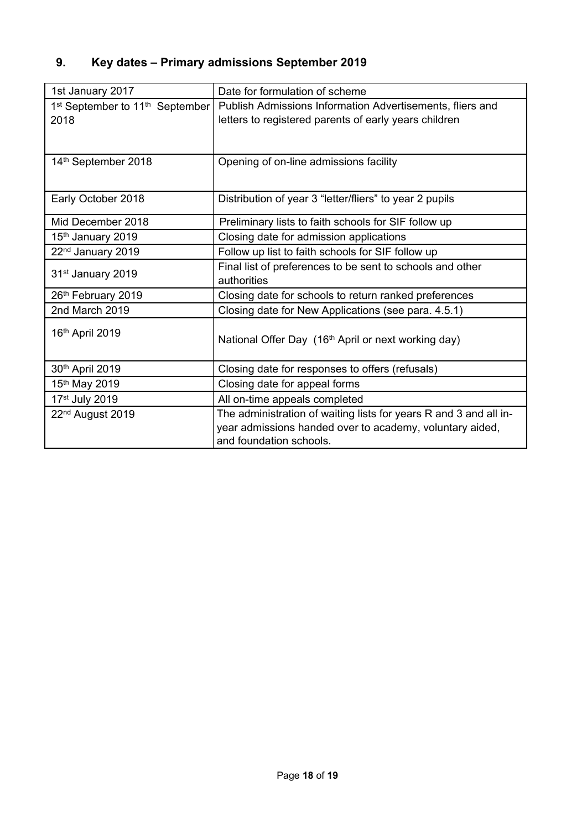# **9. Key dates – Primary admissions September 2019**

| 1st January 2017                                        | Date for formulation of scheme                                    |  |  |
|---------------------------------------------------------|-------------------------------------------------------------------|--|--|
| 1 <sup>st</sup> September to 11 <sup>th</sup> September | Publish Admissions Information Advertisements, fliers and         |  |  |
| 2018                                                    | letters to registered parents of early years children             |  |  |
|                                                         |                                                                   |  |  |
|                                                         |                                                                   |  |  |
| 14th September 2018                                     | Opening of on-line admissions facility                            |  |  |
|                                                         |                                                                   |  |  |
| Early October 2018                                      | Distribution of year 3 "letter/fliers" to year 2 pupils           |  |  |
|                                                         |                                                                   |  |  |
| Mid December 2018                                       | Preliminary lists to faith schools for SIF follow up              |  |  |
| 15 <sup>th</sup> January 2019                           | Closing date for admission applications                           |  |  |
| 22 <sup>nd</sup> January 2019                           | Follow up list to faith schools for SIF follow up                 |  |  |
| 31 <sup>st</sup> January 2019                           | Final list of preferences to be sent to schools and other         |  |  |
|                                                         | authorities                                                       |  |  |
| 26th February 2019                                      | Closing date for schools to return ranked preferences             |  |  |
| 2nd March 2019                                          | Closing date for New Applications (see para. 4.5.1)               |  |  |
| 16th April 2019                                         |                                                                   |  |  |
|                                                         | National Offer Day (16th April or next working day)               |  |  |
|                                                         |                                                                   |  |  |
| 30th April 2019                                         | Closing date for responses to offers (refusals)                   |  |  |
| 15 <sup>th</sup> May 2019                               | Closing date for appeal forms                                     |  |  |
| 17 <sup>st</sup> July 2019                              | All on-time appeals completed                                     |  |  |
| 22 <sup>nd</sup> August 2019                            | The administration of waiting lists for years R and 3 and all in- |  |  |
|                                                         | year admissions handed over to academy, voluntary aided,          |  |  |
|                                                         | and foundation schools.                                           |  |  |